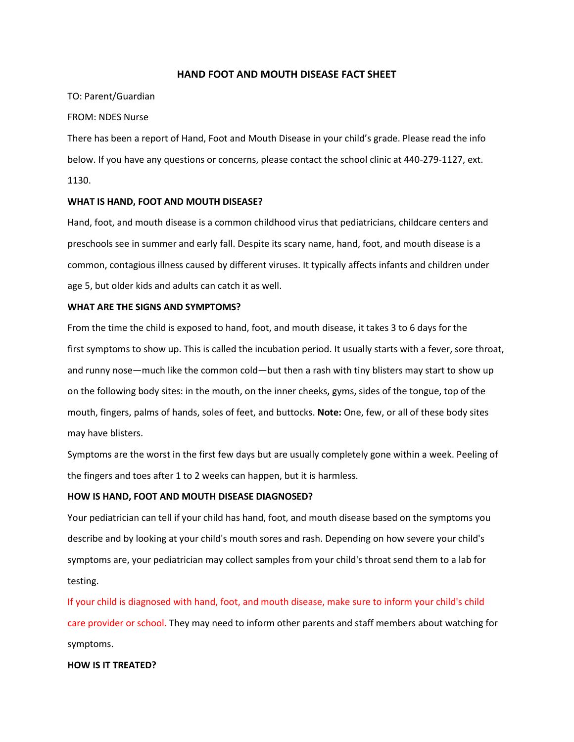## **HAND FOOT AND MOUTH DISEASE FACT SHEET**

#### TO: Parent/Guardian

#### FROM: NDES Nurse

There has been a report of Hand, Foot and Mouth Disease in your child's grade. Please read the info below. If you have any questions or concerns, please contact the school clinic at 440-279-1127, ext. 1130.

### **WHAT IS HAND, FOOT AND MOUTH DISEASE?**

Hand, foot, and mouth disease is a common childhood virus that pediatricians, childcare centers and preschools see in summer and early fall. Despite its scary name, hand, foot, and mouth disease is a common, contagious illness caused by different viruses. It typically affects infants and children under age 5, but older kids and adults can catch it as well.

### **WHAT ARE THE SIGNS AND SYMPTOMS?**

From the time the child is exposed to hand, foot, and mouth disease, it takes 3 to 6 days for the first symptoms to show up. This is called the incubation period. It usually starts with a fever, sore throat, and runny nose—much like the common cold—but then a rash with tiny blisters may start to show up on the following body sites: in the mouth, on the inner cheeks, gyms, sides of the tongue, top of the mouth, fingers, palms of hands, soles of feet, and buttocks. **Note:** One, few, or all of these body sites may have blisters.

Symptoms are the worst in the first few days but are usually completely gone within a week. Peeling of the fingers and toes after 1 to 2 weeks can happen, but it is harmless.

### **HOW IS HAND, FOOT AND MOUTH DISEASE DIAGNOSED?**

Your pediatrician can tell if your child has hand, foot, and mouth disease based on the symptoms you describe and by looking at your child's mouth sores and rash. Depending on how severe your child's symptoms are, your pediatrician may collect samples from your child's throat send them to a lab for testing.

If your child is diagnosed with hand, foot, and mouth disease, make sure to inform your child's child care provider or school. They may need to inform other parents and staff members about watching for symptoms.

#### **HOW IS IT TREATED?**